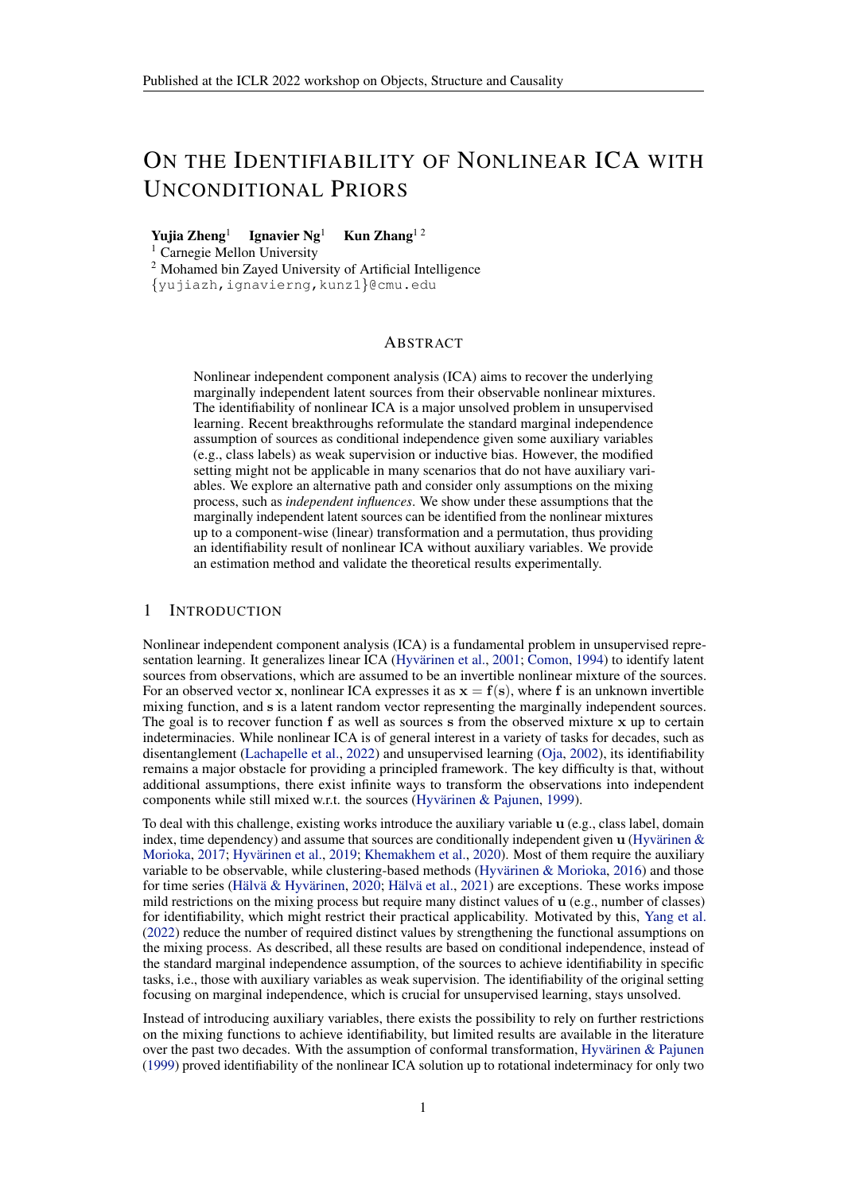# ON THE IDENTIFIABILITY OF NONLINEAR ICA WITH UNCONDITIONAL PRIORS

Yuiia Zheng<sup>1</sup> Ignavier  $Ng<sup>1</sup>$  Kun Zhang<sup>12</sup>

<sup>1</sup> Carnegie Mellon University

<sup>2</sup> Mohamed bin Zayed University of Artificial Intelligence

{yujiazh,ignavierng,kunz1}@cmu.edu

# ABSTRACT

Nonlinear independent component analysis (ICA) aims to recover the underlying marginally independent latent sources from their observable nonlinear mixtures. The identifiability of nonlinear ICA is a major unsolved problem in unsupervised learning. Recent breakthroughs reformulate the standard marginal independence assumption of sources as conditional independence given some auxiliary variables (e.g., class labels) as weak supervision or inductive bias. However, the modified setting might not be applicable in many scenarios that do not have auxiliary variables. We explore an alternative path and consider only assumptions on the mixing process, such as *independent influences*. We show under these assumptions that the marginally independent latent sources can be identified from the nonlinear mixtures up to a component-wise (linear) transformation and a permutation, thus providing an identifiability result of nonlinear ICA without auxiliary variables. We provide an estimation method and validate the theoretical results experimentally.

# 1 INTRODUCTION

Nonlinear independent component analysis (ICA) is a fundamental problem in unsupervised repre-sentation learning. It generalizes linear ICA (Hyvärinen et al., [2001;](#page-5-0) [Comon,](#page-5-1) [1994\)](#page-5-1) to identify latent sources from observations, which are assumed to be an invertible nonlinear mixture of the sources. For an observed vector x, nonlinear ICA expresses it as  $x = f(s)$ , where f is an unknown invertible mixing function, and s is a latent random vector representing the marginally independent sources. The goal is to recover function  $f$  as well as sources  $s$  from the observed mixture  $x$  up to certain indeterminacies. While nonlinear ICA is of general interest in a variety of tasks for decades, such as disentanglement [\(Lachapelle et al.,](#page-5-2) [2022\)](#page-5-2) and unsupervised learning [\(Oja,](#page-6-0) [2002\)](#page-6-0), its identifiability remains a major obstacle for providing a principled framework. The key difficulty is that, without additional assumptions, there exist infinite ways to transform the observations into independent components while still mixed w.r.t. the sources (Hyvärinen & Pajunen, [1999\)](#page-5-3).

To deal with this challenge, existing works introduce the auxiliary variable u (e.g., class label, domain index, time dependency) and assume that sources are conditionally independent given  $\bf{u}$  (Hyvärinen  $\&$ [Morioka,](#page-5-4) [2017;](#page-5-4) Hyvärinen et al., [2019;](#page-5-5) [Khemakhem et al.,](#page-5-6) [2020\)](#page-5-6). Most of them require the auxiliary variable to be observable, while clustering-based methods (Hyvärinen  $\&$  Morioka, [2016\)](#page-5-7) and those for time series (Hälvä & Hyvärinen, [2020;](#page-5-8) Hälvä et al., [2021\)](#page-5-9) are exceptions. These works impose mild restrictions on the mixing process but require many distinct values of u (e.g., number of classes) for identifiability, which might restrict their practical applicability. Motivated by this, [Yang et al.](#page-6-1) [\(2022\)](#page-6-1) reduce the number of required distinct values by strengthening the functional assumptions on the mixing process. As described, all these results are based on conditional independence, instead of the standard marginal independence assumption, of the sources to achieve identifiability in specific tasks, i.e., those with auxiliary variables as weak supervision. The identifiability of the original setting focusing on marginal independence, which is crucial for unsupervised learning, stays unsolved.

Instead of introducing auxiliary variables, there exists the possibility to rely on further restrictions on the mixing functions to achieve identifiability, but limited results are available in the literature over the past two decades. With the assumption of conformal transformation, Hyvärinen & Pajunen [\(1999\)](#page-5-3) proved identifiability of the nonlinear ICA solution up to rotational indeterminacy for only two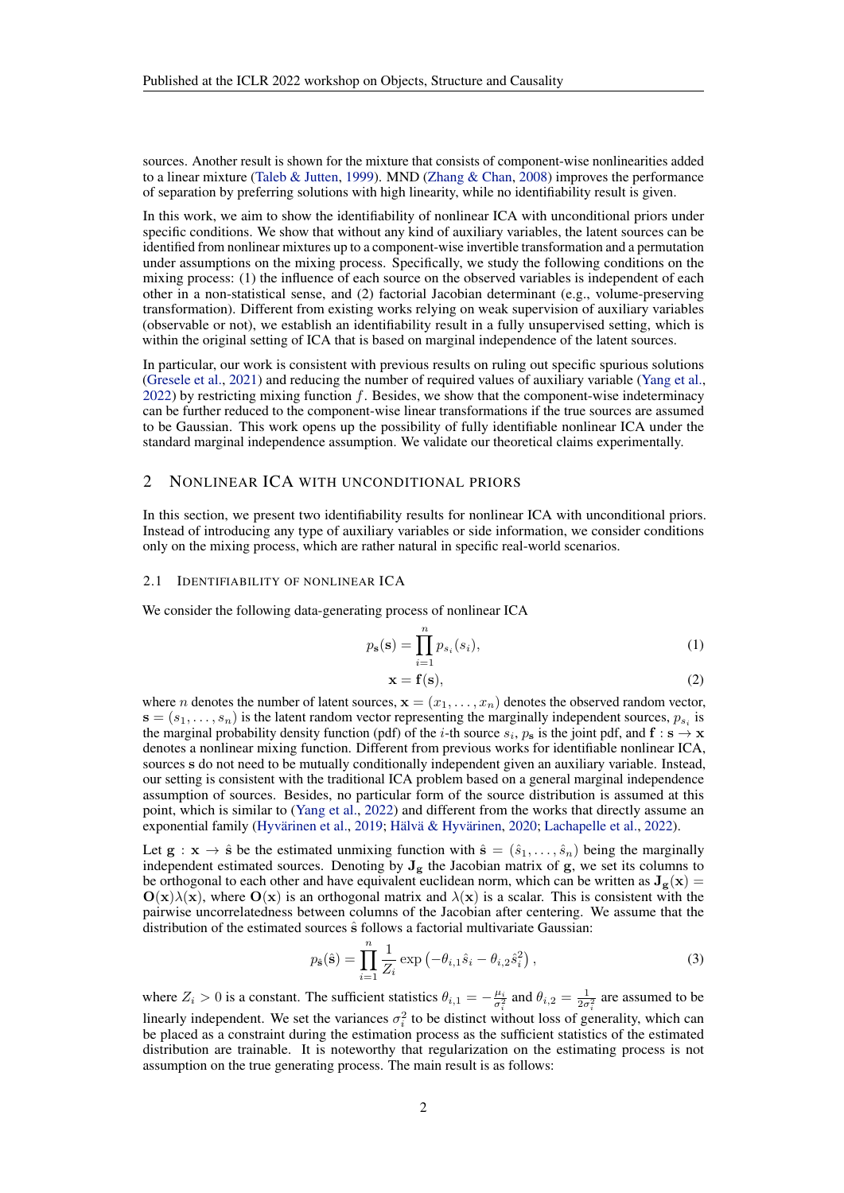sources. Another result is shown for the mixture that consists of component-wise nonlinearities added to a linear mixture [\(Taleb & Jutten,](#page-6-2) [1999\)](#page-6-2). MND [\(Zhang & Chan,](#page-6-3) [2008\)](#page-6-3) improves the performance of separation by preferring solutions with high linearity, while no identifiability result is given.

In this work, we aim to show the identifiability of nonlinear ICA with unconditional priors under specific conditions. We show that without any kind of auxiliary variables, the latent sources can be identified from nonlinear mixtures up to a component-wise invertible transformation and a permutation under assumptions on the mixing process. Specifically, we study the following conditions on the mixing process: (1) the influence of each source on the observed variables is independent of each other in a non-statistical sense, and (2) factorial Jacobian determinant (e.g., volume-preserving transformation). Different from existing works relying on weak supervision of auxiliary variables (observable or not), we establish an identifiability result in a fully unsupervised setting, which is within the original setting of ICA that is based on marginal independence of the latent sources.

In particular, our work is consistent with previous results on ruling out specific spurious solutions [\(Gresele et al.,](#page-5-10) [2021\)](#page-5-10) and reducing the number of required values of auxiliary variable [\(Yang et al.,](#page-6-1)  $2022$ ) by restricting mixing function f. Besides, we show that the component-wise indeterminacy can be further reduced to the component-wise linear transformations if the true sources are assumed to be Gaussian. This work opens up the possibility of fully identifiable nonlinear ICA under the standard marginal independence assumption. We validate our theoretical claims experimentally.

## 2 NONLINEAR ICA WITH UNCONDITIONAL PRIORS

In this section, we present two identifiability results for nonlinear ICA with unconditional priors. Instead of introducing any type of auxiliary variables or side information, we consider conditions only on the mixing process, which are rather natural in specific real-world scenarios.

#### <span id="page-1-2"></span>2.1 IDENTIFIABILITY OF NONLINEAR ICA

We consider the following data-generating process of nonlinear ICA

$$
p_{s}(s) = \prod_{i=1}^{n} p_{s_i}(s_i),
$$
\n(1)

<span id="page-1-0"></span>
$$
\mathbf{x} = \mathbf{f}(\mathbf{s}),\tag{2}
$$

where *n* denotes the number of latent sources,  $\mathbf{x} = (x_1, \dots, x_n)$  denotes the observed random vector,  $\mathbf{s} = (s_1, \dots, s_n)$  is the latent random vector representing the marginally independent sources,  $p_{s_i}$  is the marginal probability density function (pdf) of the *i*-th source  $s_i$ ,  $p_s$  is the joint pdf, and  $f : s \rightarrow x$ denotes a nonlinear mixing function. Different from previous works for identifiable nonlinear ICA, sources s do not need to be mutually conditionally independent given an auxiliary variable. Instead, our setting is consistent with the traditional ICA problem based on a general marginal independence assumption of sources. Besides, no particular form of the source distribution is assumed at this point, which is similar to [\(Yang et al.,](#page-6-1) [2022\)](#page-6-1) and different from the works that directly assume an exponential family (Hyvärinen et al., [2019;](#page-5-5) Hälvä & Hyvärinen, [2020;](#page-5-8) [Lachapelle et al.,](#page-5-2) [2022\)](#page-5-2).

Let  $g : x \to \hat{s}$  be the estimated unmixing function with  $\hat{s} = (\hat{s}_1, \dots, \hat{s}_n)$  being the marginally independent estimated sources. Denoting by  $J_g$  the Jacobian matrix of  $g$ , we set its columns to be orthogonal to each other and have equivalent euclidean norm, which can be written as  $J_g(x)$  =  $O(x)\lambda(x)$ , where  $O(x)$  is an orthogonal matrix and  $\lambda(x)$  is a scalar. This is consistent with the pairwise uncorrelatedness between columns of the Jacobian after centering. We assume that the distribution of the estimated sources  $\hat{s}$  follows a factorial multivariate Gaussian:

<span id="page-1-1"></span>
$$
p_{\hat{\mathbf{s}}}(\hat{\mathbf{s}}) = \prod_{i=1}^{n} \frac{1}{Z_i} \exp\left(-\theta_{i,1}\hat{s}_i - \theta_{i,2}\hat{s}_i^2\right),\tag{3}
$$

where  $Z_i > 0$  is a constant. The sufficient statistics  $\theta_{i,1} = -\frac{\mu_i}{\sigma_i^2}$  and  $\theta_{i,2} = \frac{1}{2\sigma_i^2}$  are assumed to be linearly independent. We set the variances  $\sigma_i^2$  to be distinct without loss of generality, which can be placed as a constraint during the estimation process as the sufficient statistics of the estimated distribution are trainable. It is noteworthy that regularization on the estimating process is not assumption on the true generating process. The main result is as follows: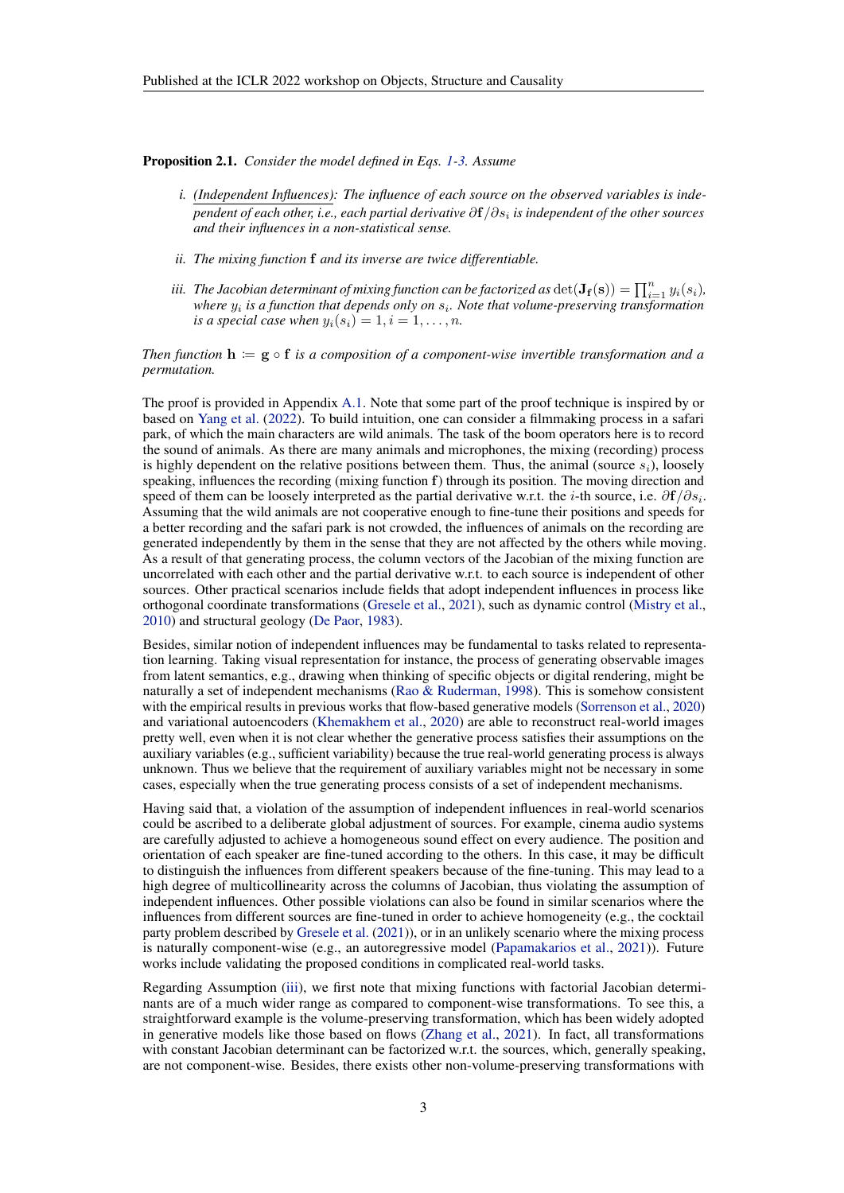<span id="page-2-2"></span><span id="page-2-1"></span>Proposition 2.1. *Consider the model defined in Eqs. [1-](#page-1-0)[3.](#page-1-1) Assume*

- *i. (Independent Influences): The influence of each source on the observed variables is independent of each other, i.e., each partial derivative* ∂f/∂s<sup>i</sup> *is independent of the other sources and their influences in a non-statistical sense.*
- *ii. The mixing function* f *and its inverse are twice differentiable.*
- <span id="page-2-0"></span>iii. The Jacobian determinant of mixing function can be factorized as  $\det(\mathbf{J_f}(\mathbf{s})) = \prod_{i=1}^n y_i(s_i)$ *,* where  $y_i$  is a function that depends only on  $s_i$ . Note that volume-preserving transformation *is a special case when*  $y_i(s_i) = 1, i = 1, \ldots, n$ .

*Then function*  $h := g \circ f$  *is a composition of a component-wise invertible transformation and a permutation.*

The proof is provided in Appendix [A.1.](#page-7-0) Note that some part of the proof technique is inspired by or based on [Yang et al.](#page-6-1) [\(2022\)](#page-6-1). To build intuition, one can consider a filmmaking process in a safari park, of which the main characters are wild animals. The task of the boom operators here is to record the sound of animals. As there are many animals and microphones, the mixing (recording) process is highly dependent on the relative positions between them. Thus, the animal (source  $s_i$ ), loosely speaking, influences the recording (mixing function f) through its position. The moving direction and speed of them can be loosely interpreted as the partial derivative w.r.t. the *i*-th source, i.e.  $\partial f/\partial s_i$ . Assuming that the wild animals are not cooperative enough to fine-tune their positions and speeds for a better recording and the safari park is not crowded, the influences of animals on the recording are generated independently by them in the sense that they are not affected by the others while moving. As a result of that generating process, the column vectors of the Jacobian of the mixing function are uncorrelated with each other and the partial derivative w.r.t. to each source is independent of other sources. Other practical scenarios include fields that adopt independent influences in process like orthogonal coordinate transformations [\(Gresele et al.,](#page-5-10) [2021\)](#page-5-10), such as dynamic control [\(Mistry et al.,](#page-6-4) [2010\)](#page-6-4) and structural geology [\(De Paor,](#page-5-11) [1983\)](#page-5-11).

Besides, similar notion of independent influences may be fundamental to tasks related to representation learning. Taking visual representation for instance, the process of generating observable images from latent semantics, e.g., drawing when thinking of specific objects or digital rendering, might be naturally a set of independent mechanisms [\(Rao & Ruderman,](#page-6-5) [1998\)](#page-6-5). This is somehow consistent with the empirical results in previous works that flow-based generative models [\(Sorrenson et al.,](#page-6-6) [2020\)](#page-6-6) and variational autoencoders [\(Khemakhem et al.,](#page-5-6) [2020\)](#page-5-6) are able to reconstruct real-world images pretty well, even when it is not clear whether the generative process satisfies their assumptions on the auxiliary variables (e.g., sufficient variability) because the true real-world generating process is always unknown. Thus we believe that the requirement of auxiliary variables might not be necessary in some cases, especially when the true generating process consists of a set of independent mechanisms.

Having said that, a violation of the assumption of independent influences in real-world scenarios could be ascribed to a deliberate global adjustment of sources. For example, cinema audio systems are carefully adjusted to achieve a homogeneous sound effect on every audience. The position and orientation of each speaker are fine-tuned according to the others. In this case, it may be difficult to distinguish the influences from different speakers because of the fine-tuning. This may lead to a high degree of multicollinearity across the columns of Jacobian, thus violating the assumption of independent influences. Other possible violations can also be found in similar scenarios where the influences from different sources are fine-tuned in order to achieve homogeneity (e.g., the cocktail party problem described by [Gresele et al.](#page-5-10) [\(2021\)](#page-5-10)), or in an unlikely scenario where the mixing process is naturally component-wise (e.g., an autoregressive model [\(Papamakarios et al.,](#page-6-7) [2021\)](#page-6-7)). Future works include validating the proposed conditions in complicated real-world tasks.

Regarding Assumption [\(iii\)](#page-2-0), we first note that mixing functions with factorial Jacobian determinants are of a much wider range as compared to component-wise transformations. To see this, a straightforward example is the volume-preserving transformation, which has been widely adopted in generative models like those based on flows [\(Zhang et al.,](#page-6-8) [2021\)](#page-6-8). In fact, all transformations with constant Jacobian determinant can be factorized w.r.t. the sources, which, generally speaking, are not component-wise. Besides, there exists other non-volume-preserving transformations with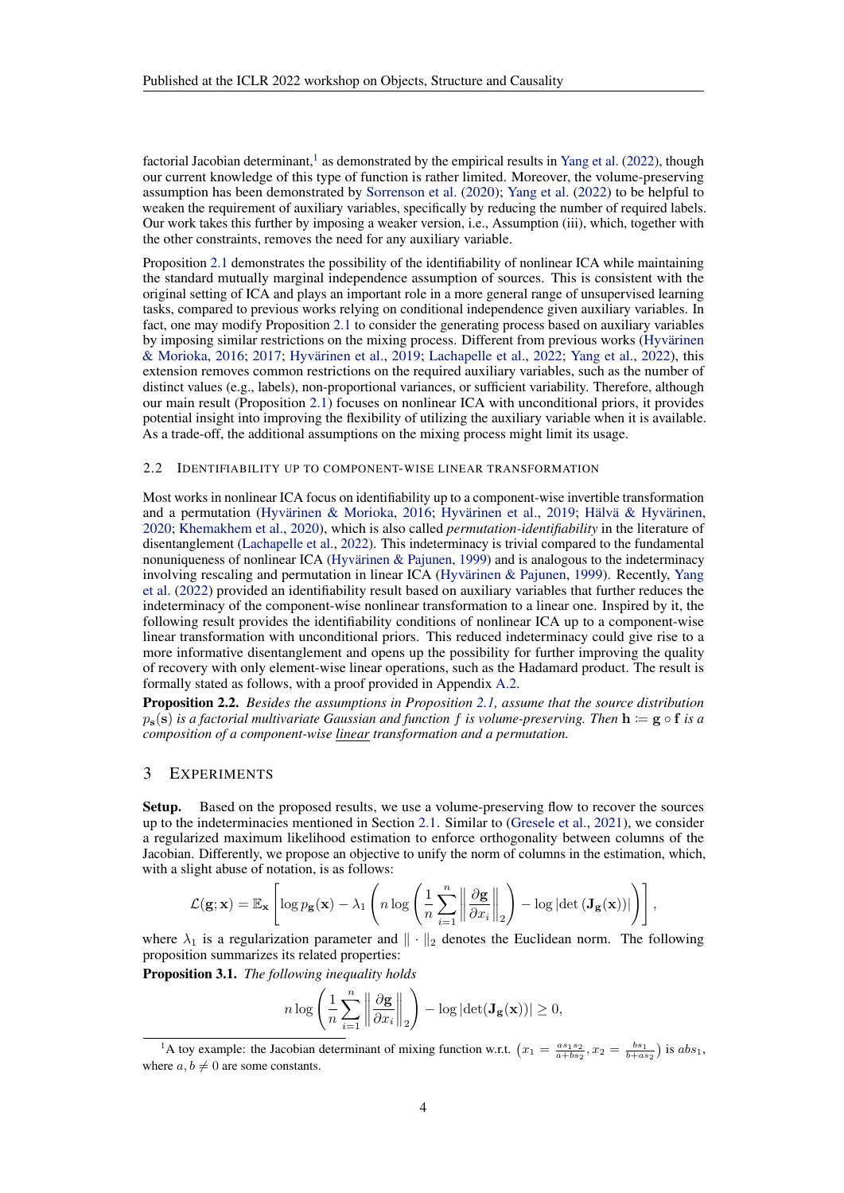factorial Jacobian determinant,<sup>[1](#page-3-0)</sup> as demonstrated by the empirical results in [Yang et al.](#page-6-1) [\(2022\)](#page-6-1), though our current knowledge of this type of function is rather limited. Moreover, the volume-preserving assumption has been demonstrated by [Sorrenson et al.](#page-6-6) [\(2020\)](#page-6-6); [Yang et al.](#page-6-1) [\(2022\)](#page-6-1) to be helpful to weaken the requirement of auxiliary variables, specifically by reducing the number of required labels. Our work takes this further by imposing a weaker version, i.e., Assumption (iii), which, together with the other constraints, removes the need for any auxiliary variable.

Proposition [2.1](#page-2-1) demonstrates the possibility of the identifiability of nonlinear ICA while maintaining the standard mutually marginal independence assumption of sources. This is consistent with the original setting of ICA and plays an important role in a more general range of unsupervised learning tasks, compared to previous works relying on conditional independence given auxiliary variables. In fact, one may modify Proposition [2.1](#page-2-1) to consider the generating process based on auxiliary variables by imposing similar restrictions on the mixing process. Different from previous works (Hyvärinen [& Morioka,](#page-5-7) [2016;](#page-5-7) [2017;](#page-5-4) Hyvärinen et al., [2019;](#page-5-5) [Lachapelle et al.,](#page-5-2) [2022;](#page-5-2) [Yang et al.,](#page-6-1) [2022\)](#page-6-1), this extension removes common restrictions on the required auxiliary variables, such as the number of distinct values (e.g., labels), non-proportional variances, or sufficient variability. Therefore, although our main result (Proposition [2.1\)](#page-2-1) focuses on nonlinear ICA with unconditional priors, it provides potential insight into improving the flexibility of utilizing the auxiliary variable when it is available. As a trade-off, the additional assumptions on the mixing process might limit its usage.

#### 2.2 IDENTIFIABILITY UP TO COMPONENT-WISE LINEAR TRANSFORMATION

Most works in nonlinear ICA focus on identifiability up to a component-wise invertible transformation and a permutation (Hyvärinen & Morioka, [2016;](#page-5-7) Hyvärinen et al., [2019;](#page-5-5) Hälvä & Hyvärinen, [2020;](#page-5-8) [Khemakhem et al.,](#page-5-6) [2020\)](#page-5-6), which is also called *permutation-identifiability* in the literature of disentanglement [\(Lachapelle et al.,](#page-5-2) [2022\)](#page-5-2). This indeterminacy is trivial compared to the fundamental nonuniqueness of nonlinear ICA (Hyvärinen  $\&$  Pajunen, [1999\)](#page-5-3) and is analogous to the indeterminacy involving rescaling and permutation in linear ICA (Hyvärinen  $\&$  Pajunen, [1999\)](#page-5-3). Recently, [Yang](#page-6-1) [et al.](#page-6-1) [\(2022\)](#page-6-1) provided an identifiability result based on auxiliary variables that further reduces the indeterminacy of the component-wise nonlinear transformation to a linear one. Inspired by it, the following result provides the identifiability conditions of nonlinear ICA up to a component-wise linear transformation with unconditional priors. This reduced indeterminacy could give rise to a more informative disentanglement and opens up the possibility for further improving the quality of recovery with only element-wise linear operations, such as the Hadamard product. The result is formally stated as follows, with a proof provided in Appendix [A.2.](#page-9-0)

<span id="page-3-2"></span>Proposition 2.2. *Besides the assumptions in Proposition [2.1,](#page-2-1) assume that the source distribution*  $p_s(s)$  *is a factorial multivariate Gaussian and function* f *is volume-preserving. Then*  $h := g \circ f$  *is a composition of a component-wise linear transformation and a permutation.*

## 3 EXPERIMENTS

Setup. Based on the proposed results, we use a volume-preserving flow to recover the sources up to the indeterminacies mentioned in Section [2.1.](#page-1-2) Similar to [\(Gresele et al.,](#page-5-10) [2021\)](#page-5-10), we consider a regularized maximum likelihood estimation to enforce orthogonality between columns of the Jacobian. Differently, we propose an objective to unify the norm of columns in the estimation, which, with a slight abuse of notation, is as follows:

$$
\mathcal{L}(\mathbf{g}; \mathbf{x}) = \mathbb{E}_{\mathbf{x}} \left[ \log p_{\mathbf{g}}(\mathbf{x}) - \lambda_1 \left( n \log \left( \frac{1}{n} \sum_{i=1}^n \left\| \frac{\partial \mathbf{g}}{\partial x_i} \right\|_2 \right) - \log |\det (\mathbf{J}_{\mathbf{g}}(\mathbf{x}))| \right) \right],
$$

where  $\lambda_1$  is a regularization parameter and  $\|\cdot\|_2$  denotes the Euclidean norm. The following proposition summarizes its related properties:

<span id="page-3-1"></span>Proposition 3.1. *The following inequality holds*

$$
n \log \left( \frac{1}{n} \sum_{i=1}^{n} \left\| \frac{\partial \mathbf{g}}{\partial x_i} \right\|_2 \right) - \log \left| \det(\mathbf{J}_{\mathbf{g}}(\mathbf{x})) \right| \ge 0,
$$

<span id="page-3-0"></span><sup>&</sup>lt;sup>1</sup>A toy example: the Jacobian determinant of mixing function w.r.t.  $(x_1 = \frac{as_1s_2}{a+bs_2}, x_2 = \frac{bs_1}{b+as_2} )$  is  $abs_1$ , where  $a, b \neq 0$  are some constants.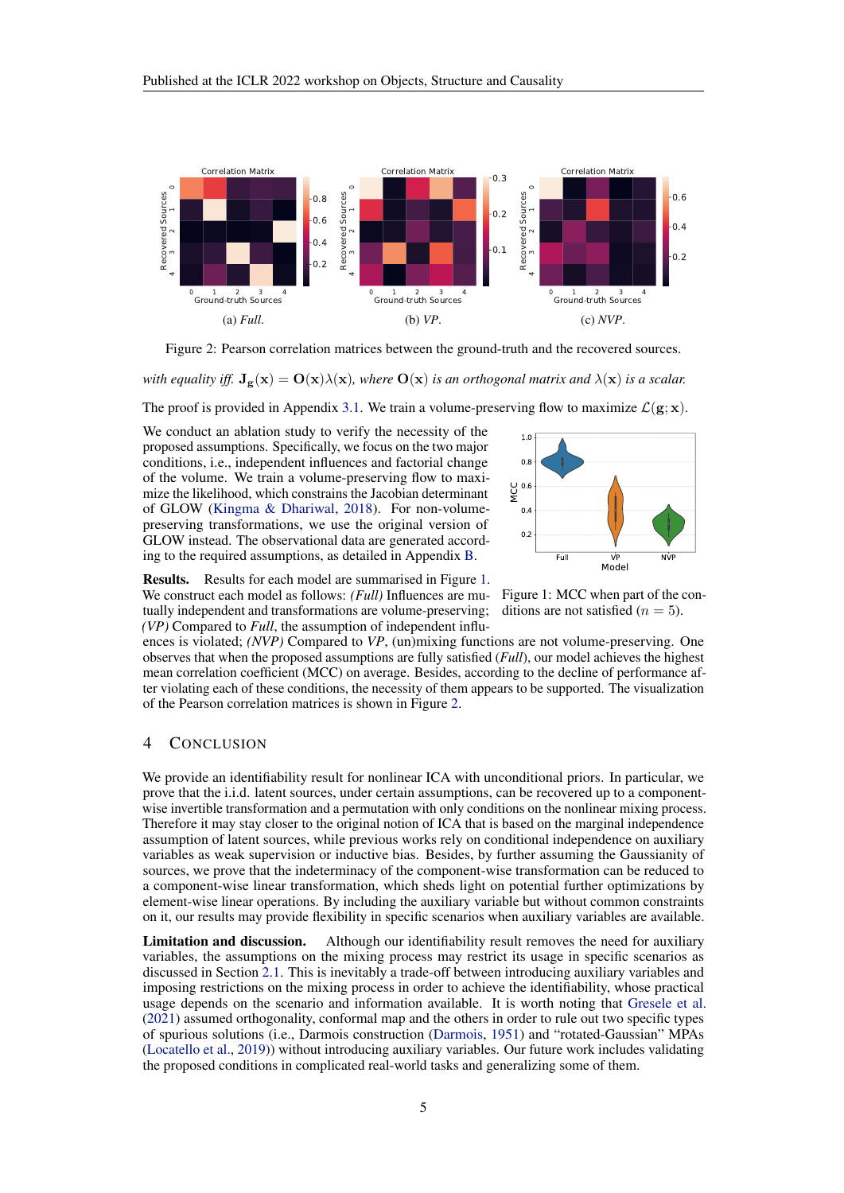<span id="page-4-1"></span>

Figure 2: Pearson correlation matrices between the ground-truth and the recovered sources.

*with equality iff.*  $J_g(x) = O(x)\lambda(x)$ *, where*  $O(x)$  *is an orthogonal matrix and*  $\lambda(x)$  *is a scalar.* 

The proof is provided in Appendix [3.1.](#page-3-1) We train a volume-preserving flow to maximize  $\mathcal{L}(g; x)$ .

We conduct an ablation study to verify the necessity of the proposed assumptions. Specifically, we focus on the two major conditions, i.e., independent influences and factorial change of the volume. We train a volume-preserving flow to maximize the likelihood, which constrains the Jacobian determinant of GLOW [\(Kingma & Dhariwal,](#page-5-12) [2018\)](#page-5-12). For non-volumepreserving transformations, we use the original version of GLOW instead. The observational data are generated according to the required assumptions, as detailed in Appendix [B.](#page-10-0)

<span id="page-4-0"></span>

Results. Results for each model are summarised in Figure [1.](#page-4-0) We construct each model as follows: *(Full)* Influences are mutually independent and transformations are volume-preserving; *(VP)* Compared to *Full*, the assumption of independent influ-

Figure 1: MCC when part of the conditions are not satisfied  $(n = 5)$ .

ences is violated; *(NVP)* Compared to *VP*, (un)mixing functions are not volume-preserving. One observes that when the proposed assumptions are fully satisfied (*Full*), our model achieves the highest mean correlation coefficient (MCC) on average. Besides, according to the decline of performance after violating each of these conditions, the necessity of them appears to be supported. The visualization of the Pearson correlation matrices is shown in Figure [2.](#page-4-1)

## 4 CONCLUSION

We provide an identifiability result for nonlinear ICA with unconditional priors. In particular, we prove that the i.i.d. latent sources, under certain assumptions, can be recovered up to a componentwise invertible transformation and a permutation with only conditions on the nonlinear mixing process. Therefore it may stay closer to the original notion of ICA that is based on the marginal independence assumption of latent sources, while previous works rely on conditional independence on auxiliary variables as weak supervision or inductive bias. Besides, by further assuming the Gaussianity of sources, we prove that the indeterminacy of the component-wise transformation can be reduced to a component-wise linear transformation, which sheds light on potential further optimizations by element-wise linear operations. By including the auxiliary variable but without common constraints on it, our results may provide flexibility in specific scenarios when auxiliary variables are available.

Limitation and discussion. Although our identifiability result removes the need for auxiliary variables, the assumptions on the mixing process may restrict its usage in specific scenarios as discussed in Section [2.1.](#page-1-2) This is inevitably a trade-off between introducing auxiliary variables and imposing restrictions on the mixing process in order to achieve the identifiability, whose practical usage depends on the scenario and information available. It is worth noting that [Gresele et al.](#page-5-10) [\(2021\)](#page-5-10) assumed orthogonality, conformal map and the others in order to rule out two specific types of spurious solutions (i.e., Darmois construction [\(Darmois,](#page-5-13) [1951\)](#page-5-13) and "rotated-Gaussian" MPAs [\(Locatello et al.,](#page-6-9) [2019\)](#page-6-9)) without introducing auxiliary variables. Our future work includes validating the proposed conditions in complicated real-world tasks and generalizing some of them.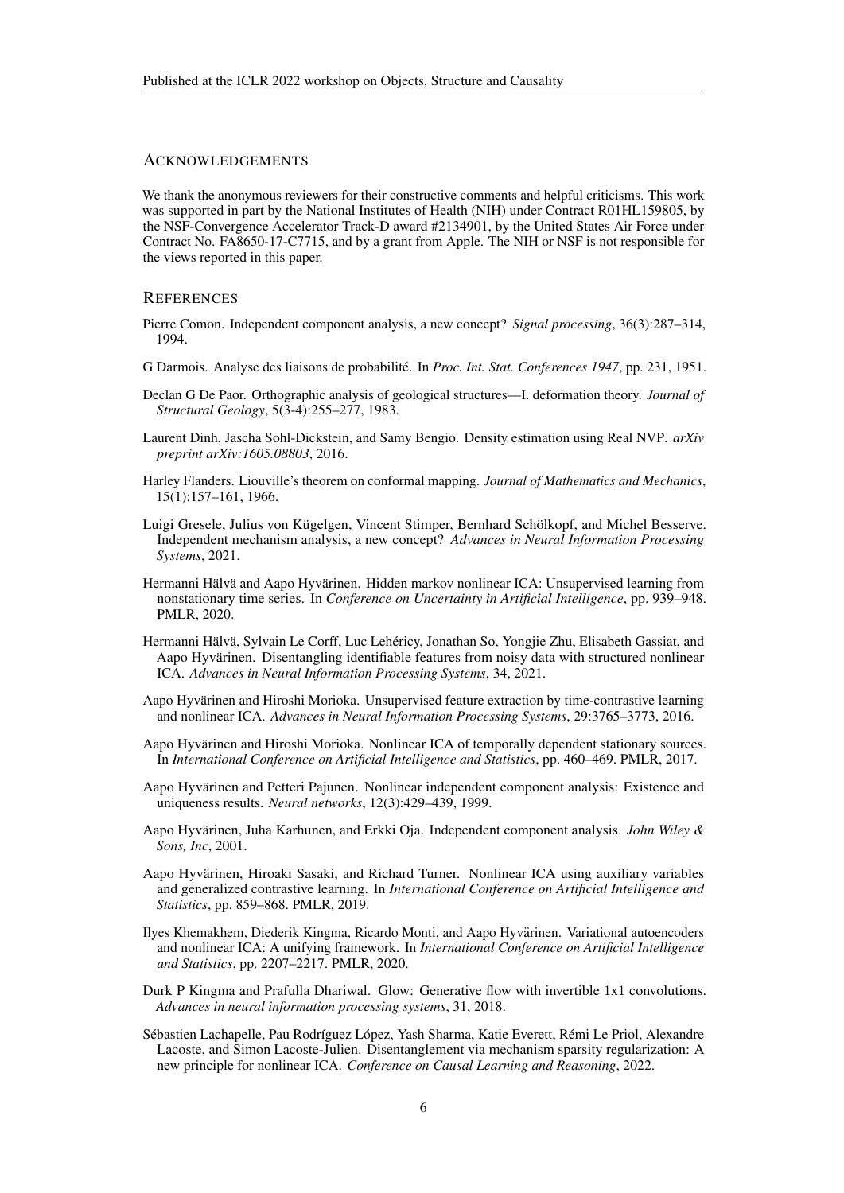## ACKNOWLEDGEMENTS

We thank the anonymous reviewers for their constructive comments and helpful criticisms. This work was supported in part by the National Institutes of Health (NIH) under Contract R01HL159805, by the NSF-Convergence Accelerator Track-D award #2134901, by the United States Air Force under Contract No. FA8650-17-C7715, and by a grant from Apple. The NIH or NSF is not responsible for the views reported in this paper.

#### **REFERENCES**

- <span id="page-5-1"></span>Pierre Comon. Independent component analysis, a new concept? *Signal processing*, 36(3):287–314, 1994.
- <span id="page-5-13"></span>G Darmois. Analyse des liaisons de probabilite. In ´ *Proc. Int. Stat. Conferences 1947*, pp. 231, 1951.
- <span id="page-5-11"></span>Declan G De Paor. Orthographic analysis of geological structures—I. deformation theory. *Journal of Structural Geology*, 5(3-4):255–277, 1983.
- <span id="page-5-15"></span>Laurent Dinh, Jascha Sohl-Dickstein, and Samy Bengio. Density estimation using Real NVP. *arXiv preprint arXiv:1605.08803*, 2016.
- <span id="page-5-14"></span>Harley Flanders. Liouville's theorem on conformal mapping. *Journal of Mathematics and Mechanics*, 15(1):157–161, 1966.
- <span id="page-5-10"></span>Luigi Gresele, Julius von Kügelgen, Vincent Stimper, Bernhard Schölkopf, and Michel Besserve. Independent mechanism analysis, a new concept? *Advances in Neural Information Processing Systems*, 2021.
- <span id="page-5-8"></span>Hermanni Hälvä and Aapo Hyvärinen. Hidden markov nonlinear ICA: Unsupervised learning from nonstationary time series. In *Conference on Uncertainty in Artificial Intelligence*, pp. 939–948. PMLR, 2020.
- <span id="page-5-9"></span>Hermanni Hälvä, Sylvain Le Corff, Luc Lehéricy, Jonathan So, Yongjie Zhu, Elisabeth Gassiat, and Aapo Hyvärinen. Disentangling identifiable features from noisy data with structured nonlinear ICA. *Advances in Neural Information Processing Systems*, 34, 2021.
- <span id="page-5-7"></span>Aapo Hyvärinen and Hiroshi Morioka. Unsupervised feature extraction by time-contrastive learning and nonlinear ICA. *Advances in Neural Information Processing Systems*, 29:3765–3773, 2016.
- <span id="page-5-4"></span>Aapo Hyvarinen and Hiroshi Morioka. Nonlinear ICA of temporally dependent stationary sources. ¨ In *International Conference on Artificial Intelligence and Statistics*, pp. 460–469. PMLR, 2017.
- <span id="page-5-3"></span>Aapo Hyvärinen and Petteri Pajunen. Nonlinear independent component analysis: Existence and uniqueness results. *Neural networks*, 12(3):429–439, 1999.
- <span id="page-5-0"></span>Aapo Hyvarinen, Juha Karhunen, and Erkki Oja. Independent component analysis. ¨ *John Wiley & Sons, Inc*, 2001.
- <span id="page-5-5"></span>Aapo Hyvärinen, Hiroaki Sasaki, and Richard Turner. Nonlinear ICA using auxiliary variables and generalized contrastive learning. In *International Conference on Artificial Intelligence and Statistics*, pp. 859–868. PMLR, 2019.
- <span id="page-5-6"></span>Ilyes Khemakhem, Diederik Kingma, Ricardo Monti, and Aapo Hyvarinen. Variational autoencoders ¨ and nonlinear ICA: A unifying framework. In *International Conference on Artificial Intelligence and Statistics*, pp. 2207–2217. PMLR, 2020.
- <span id="page-5-12"></span>Durk P Kingma and Prafulla Dhariwal. Glow: Generative flow with invertible 1x1 convolutions. *Advances in neural information processing systems*, 31, 2018.
- <span id="page-5-2"></span>Sébastien Lachapelle, Pau Rodríguez López, Yash Sharma, Katie Everett, Rémi Le Priol, Alexandre Lacoste, and Simon Lacoste-Julien. Disentanglement via mechanism sparsity regularization: A new principle for nonlinear ICA. *Conference on Causal Learning and Reasoning*, 2022.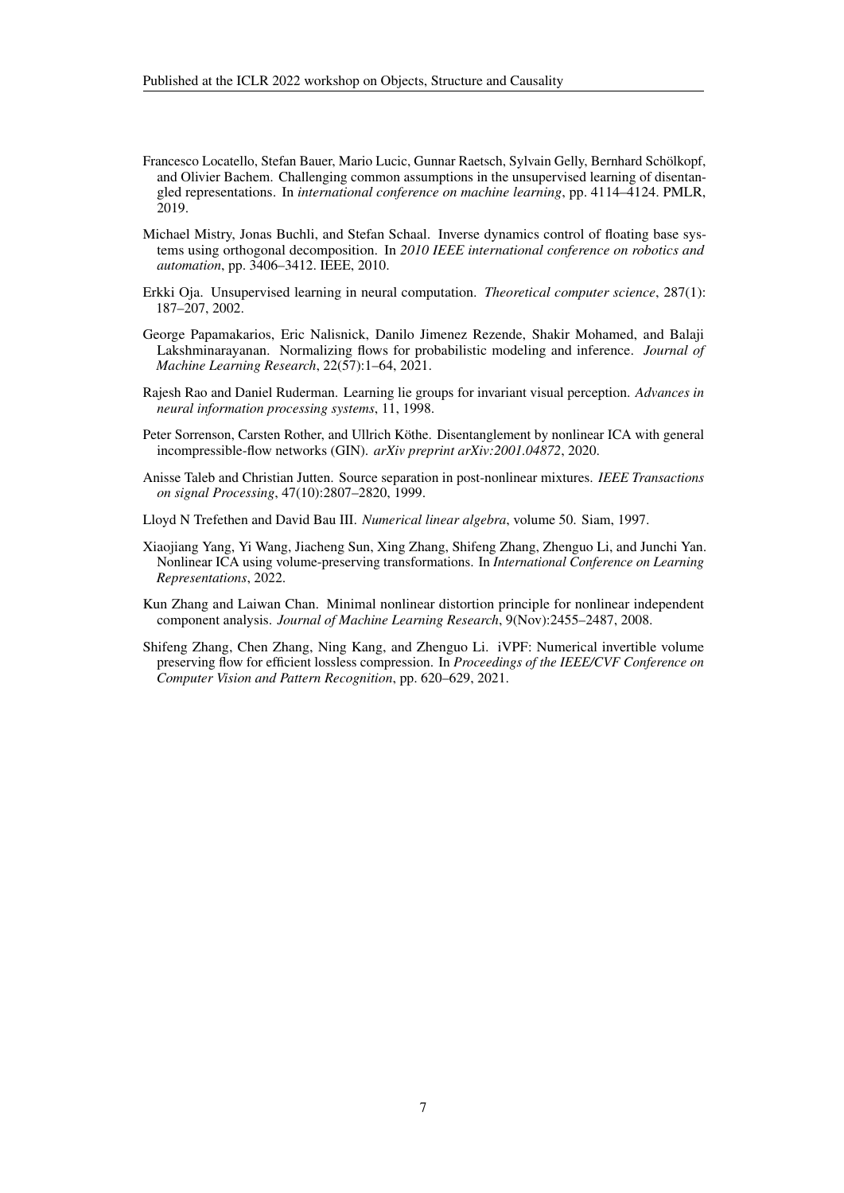- <span id="page-6-9"></span>Francesco Locatello, Stefan Bauer, Mario Lucic, Gunnar Raetsch, Sylvain Gelly, Bernhard Scholkopf, ¨ and Olivier Bachem. Challenging common assumptions in the unsupervised learning of disentangled representations. In *international conference on machine learning*, pp. 4114–4124. PMLR, 2019.
- <span id="page-6-4"></span>Michael Mistry, Jonas Buchli, and Stefan Schaal. Inverse dynamics control of floating base systems using orthogonal decomposition. In *2010 IEEE international conference on robotics and automation*, pp. 3406–3412. IEEE, 2010.
- <span id="page-6-0"></span>Erkki Oja. Unsupervised learning in neural computation. *Theoretical computer science*, 287(1): 187–207, 2002.
- <span id="page-6-7"></span>George Papamakarios, Eric Nalisnick, Danilo Jimenez Rezende, Shakir Mohamed, and Balaji Lakshminarayanan. Normalizing flows for probabilistic modeling and inference. *Journal of Machine Learning Research*, 22(57):1–64, 2021.
- <span id="page-6-5"></span>Rajesh Rao and Daniel Ruderman. Learning lie groups for invariant visual perception. *Advances in neural information processing systems*, 11, 1998.
- <span id="page-6-6"></span>Peter Sorrenson, Carsten Rother, and Ullrich Köthe. Disentanglement by nonlinear ICA with general incompressible-flow networks (GIN). *arXiv preprint arXiv:2001.04872*, 2020.
- <span id="page-6-2"></span>Anisse Taleb and Christian Jutten. Source separation in post-nonlinear mixtures. *IEEE Transactions on signal Processing*, 47(10):2807–2820, 1999.
- <span id="page-6-10"></span>Lloyd N Trefethen and David Bau III. *Numerical linear algebra*, volume 50. Siam, 1997.
- <span id="page-6-1"></span>Xiaojiang Yang, Yi Wang, Jiacheng Sun, Xing Zhang, Shifeng Zhang, Zhenguo Li, and Junchi Yan. Nonlinear ICA using volume-preserving transformations. In *International Conference on Learning Representations*, 2022.
- <span id="page-6-3"></span>Kun Zhang and Laiwan Chan. Minimal nonlinear distortion principle for nonlinear independent component analysis. *Journal of Machine Learning Research*, 9(Nov):2455–2487, 2008.
- <span id="page-6-8"></span>Shifeng Zhang, Chen Zhang, Ning Kang, and Zhenguo Li. iVPF: Numerical invertible volume preserving flow for efficient lossless compression. In *Proceedings of the IEEE/CVF Conference on Computer Vision and Pattern Recognition*, pp. 620–629, 2021.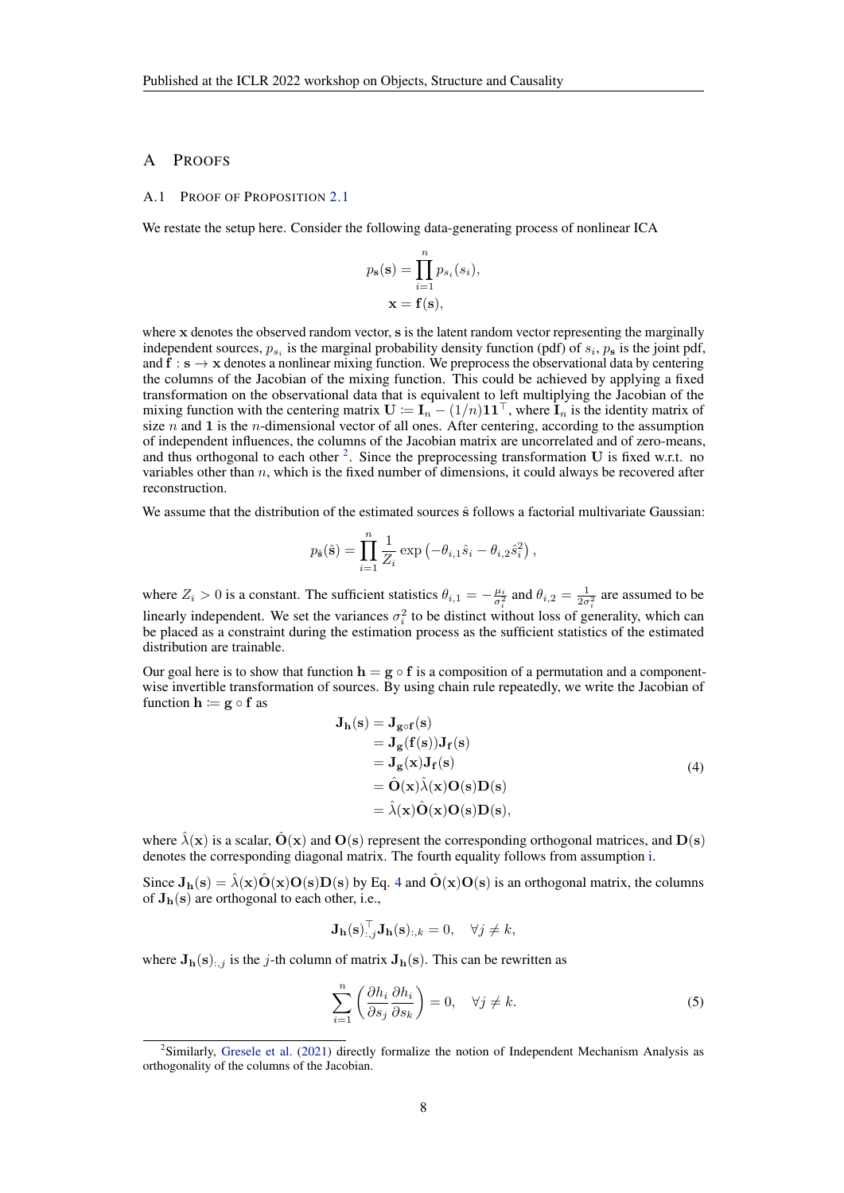## A PROOFS

#### <span id="page-7-0"></span>A.1 PROOF OF PROPOSITION [2.1](#page-2-1)

We restate the setup here. Consider the following data-generating process of nonlinear ICA

$$
p_{\mathbf{s}}(\mathbf{s}) = \prod_{i=1}^{n} p_{s_i}(s_i),
$$

$$
\mathbf{x} = \mathbf{f}(\mathbf{s}),
$$

where x denotes the observed random vector, s is the latent random vector representing the marginally independent sources,  $p_{s_i}$  is the marginal probability density function (pdf) of  $s_i$ ,  $p_s$  is the joint pdf, and  $f : s \rightarrow x$  denotes a nonlinear mixing function. We preprocess the observational data by centering the columns of the Jacobian of the mixing function. This could be achieved by applying a fixed transformation on the observational data that is equivalent to left multiplying the Jacobian of the mixing function with the centering matrix  $\mathbf{U} := \mathbf{I}_n - (1/n)\mathbf{1}\mathbf{1}^\top$ , where  $\mathbf{I}_n$  is the identity matrix of size  $n$  and 1 is the *n*-dimensional vector of all ones. After centering, according to the assumption of independent influences, the columns of the Jacobian matrix are uncorrelated and of zero-means, and thus orthogonal to each other  $2$ . Since the preprocessing transformation U is fixed w.r.t. no variables other than  $n$ , which is the fixed number of dimensions, it could always be recovered after reconstruction.

We assume that the distribution of the estimated sources  $\hat{s}$  follows a factorial multivariate Gaussian:

$$
p_{\hat{\mathbf{s}}}(\hat{\mathbf{s}}) = \prod_{i=1}^{n} \frac{1}{Z_i} \exp(-\theta_{i,1}\hat{s}_i - \theta_{i,2}\hat{s}_i^2),
$$

where  $Z_i > 0$  is a constant. The sufficient statistics  $\theta_{i,1} = -\frac{\mu_i}{\sigma_i^2}$  and  $\theta_{i,2} = \frac{1}{2\sigma_i^2}$  are assumed to be linearly independent. We set the variances  $\sigma_i^2$  to be distinct without loss of generality, which can be placed as a constraint during the estimation process as the sufficient statistics of the estimated distribution are trainable.

Our goal here is to show that function  $h = g \circ f$  is a composition of a permutation and a componentwise invertible transformation of sources. By using chain rule repeatedly, we write the Jacobian of function  $h := g \circ f$  as

<span id="page-7-2"></span>
$$
J_h(s) = J_{g \circ f}(s)
$$
  
=  $J_g(f(s))J_f(s)$   
=  $J_g(x)J_f(s)$   
=  $\hat{O}(x)\hat{\lambda}(x)O(s)D(s)$   
=  $\hat{\lambda}(x)\hat{O}(x)O(s)D(s)$ , (4)

where  $\hat{\lambda}(x)$  is a scalar,  $\hat{O}(x)$  and  $O(s)$  represent the corresponding orthogonal matrices, and  $D(s)$ denotes the corresponding diagonal matrix. The fourth equality follows from assumption [i.](#page-2-2)

Since  $J_h(s) = \lambda(x)\hat{O}(x)O(s)D(s)$  by Eq. [4](#page-7-2) and  $\hat{O}(x)O(s)$  is an orthogonal matrix, the columns of  $J<sub>h</sub>(s)$  are orthogonal to each other, i.e.,

$$
\mathbf{J}_{\mathbf{h}}(\mathbf{s})_{:,j}^{\top} \mathbf{J}_{\mathbf{h}}(\mathbf{s})_{:,k} = 0, \quad \forall j \neq k,
$$

where  $J_h(s)$ :, j is the j-th column of matrix  $J_h(s)$ . This can be rewritten as

<span id="page-7-3"></span>
$$
\sum_{i=1}^{n} \left( \frac{\partial h_i}{\partial s_j} \frac{\partial h_i}{\partial s_k} \right) = 0, \quad \forall j \neq k.
$$
 (5)

<span id="page-7-1"></span><sup>&</sup>lt;sup>2</sup>Similarly, [Gresele et al.](#page-5-10) [\(2021\)](#page-5-10) directly formalize the notion of Independent Mechanism Analysis as orthogonality of the columns of the Jacobian.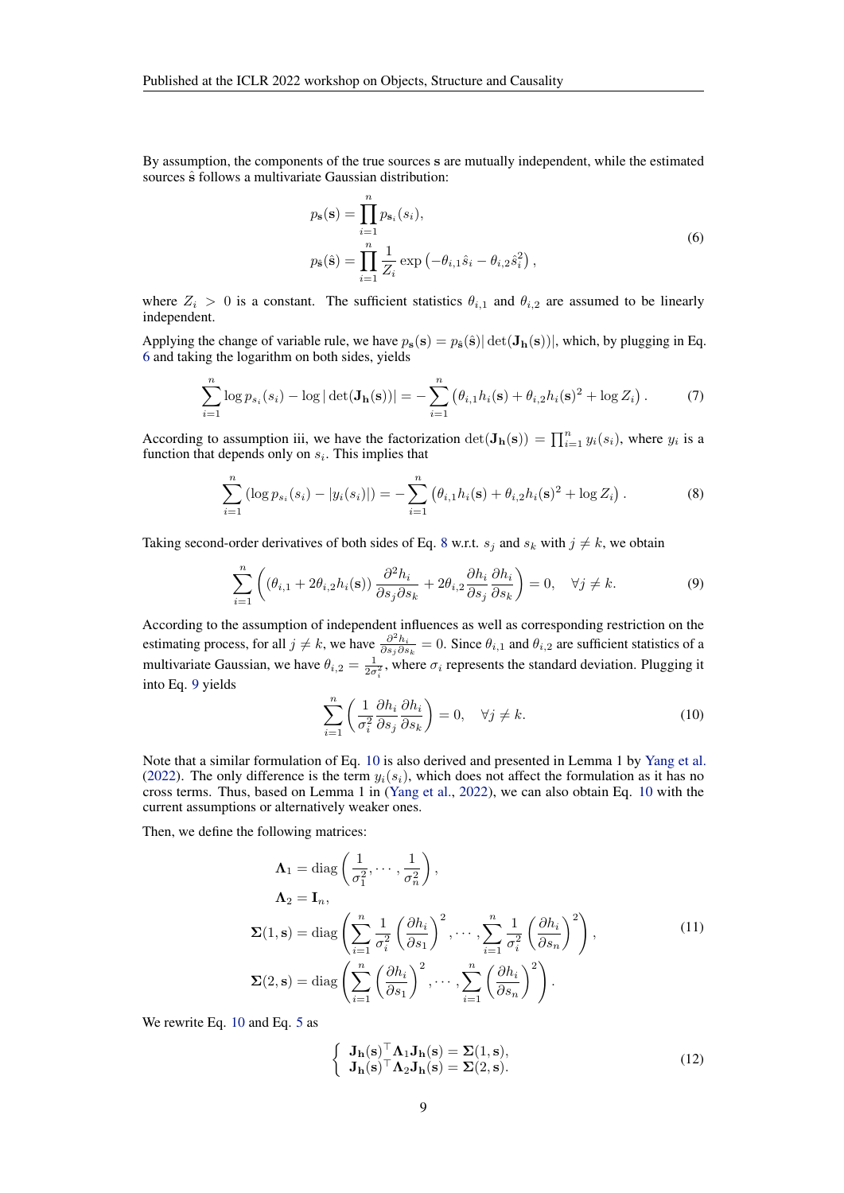By assumption, the components of the true sources s are mutually independent, while the estimated sources  $\hat{s}$  follows a multivariate Gaussian distribution:

<span id="page-8-0"></span>
$$
p_{s}(s) = \prod_{i=1}^{n} p_{s_i}(s_i),
$$
  
\n
$$
p_{\hat{s}}(\hat{s}) = \prod_{i=1}^{n} \frac{1}{Z_i} \exp(-\theta_{i,1}\hat{s}_i - \theta_{i,2}\hat{s}_i^2),
$$
\n(6)

where  $Z_i > 0$  is a constant. The sufficient statistics  $\theta_{i,1}$  and  $\theta_{i,2}$  are assumed to be linearly independent.

Applying the change of variable rule, we have  $p_s(s) = p_{\hat{s}}(\hat{s}) |\det(\mathbf{J}_h(s))|$ , which, by plugging in Eq. [6](#page-8-0) and taking the logarithm on both sides, yields

<span id="page-8-6"></span>
$$
\sum_{i=1}^{n} \log p_{s_i}(s_i) - \log |\det(\mathbf{J_h}(\mathbf{s}))| = -\sum_{i=1}^{n} (\theta_{i,1} h_i(\mathbf{s}) + \theta_{i,2} h_i(\mathbf{s})^2 + \log Z_i).
$$
 (7)

According to assumption iii, we have the factorization  $\det(\mathbf{J}_{\mathbf{h}}(\mathbf{s})) = \prod_{i=1}^{n} y_i(s_i)$ , where  $y_i$  is a function that depends only on  $s_i$ . This implies that

<span id="page-8-1"></span>
$$
\sum_{i=1}^{n} \left( \log p_{s_i}(s_i) - |y_i(s_i)| \right) = -\sum_{i=1}^{n} \left( \theta_{i,1} h_i(\mathbf{s}) + \theta_{i,2} h_i(\mathbf{s})^2 + \log Z_i \right). \tag{8}
$$

Taking second-order derivatives of both sides of Eq. [8](#page-8-1) w.r.t.  $s_j$  and  $s_k$  with  $j \neq k$ , we obtain

<span id="page-8-2"></span>
$$
\sum_{i=1}^{n} \left( (\theta_{i,1} + 2\theta_{i,2}h_i(\mathbf{s})) \frac{\partial^2 h_i}{\partial s_j \partial s_k} + 2\theta_{i,2} \frac{\partial h_i}{\partial s_j} \frac{\partial h_i}{\partial s_k} \right) = 0, \quad \forall j \neq k.
$$
 (9)

According to the assumption of independent influences as well as corresponding restriction on the estimating process, for all  $j \neq k$ , we have  $\frac{\partial^2 h_i}{\partial s_j \partial s_k} = 0$ . Since  $\theta_{i,1}$  and  $\theta_{i,2}$  are sufficient statistics of a multivariate Gaussian, we have  $\theta_{i,2} = \frac{1}{2\sigma_i^2}$ , where  $\sigma_i$  represents the standard deviation. Plugging it into Eq. [9](#page-8-2) yields

<span id="page-8-3"></span>
$$
\sum_{i=1}^{n} \left( \frac{1}{\sigma_i^2} \frac{\partial h_i}{\partial s_j} \frac{\partial h_i}{\partial s_k} \right) = 0, \quad \forall j \neq k.
$$
 (10)

Note that a similar formulation of Eq. [10](#page-8-3) is also derived and presented in Lemma 1 by [Yang et al.](#page-6-1) [\(2022\)](#page-6-1). The only difference is the term  $y_i(s_i)$ , which does not affect the formulation as it has no cross terms. Thus, based on Lemma 1 in [\(Yang et al.,](#page-6-1) [2022\)](#page-6-1), we can also obtain Eq. [10](#page-8-3) with the current assumptions or alternatively weaker ones.

Then, we define the following matrices:

<span id="page-8-4"></span>
$$
\Lambda_1 = \text{diag}\left(\frac{1}{\sigma_1^2}, \dots, \frac{1}{\sigma_n^2}\right),
$$
  
\n
$$
\Lambda_2 = \mathbf{I}_n,
$$
  
\n
$$
\Sigma(1, \mathbf{s}) = \text{diag}\left(\sum_{i=1}^n \frac{1}{\sigma_i^2} \left(\frac{\partial h_i}{\partial s_1}\right)^2, \dots, \sum_{i=1}^n \frac{1}{\sigma_i^2} \left(\frac{\partial h_i}{\partial s_n}\right)^2\right),
$$
  
\n
$$
\Sigma(2, \mathbf{s}) = \text{diag}\left(\sum_{i=1}^n \left(\frac{\partial h_i}{\partial s_1}\right)^2, \dots, \sum_{i=1}^n \left(\frac{\partial h_i}{\partial s_n}\right)^2\right).
$$
  
\n(11)

We rewrite Eq. [10](#page-8-3) and Eq. [5](#page-7-3) as

<span id="page-8-5"></span>
$$
\begin{cases} \mathbf{J}_{\mathbf{h}}(\mathbf{s})^{\top} \mathbf{\Lambda}_{1} \mathbf{J}_{\mathbf{h}}(\mathbf{s}) = \Sigma(1, \mathbf{s}), \\ \mathbf{J}_{\mathbf{h}}(\mathbf{s})^{\top} \mathbf{\Lambda}_{2} \mathbf{J}_{\mathbf{h}}(\mathbf{s}) = \Sigma(2, \mathbf{s}). \end{cases}
$$
(12)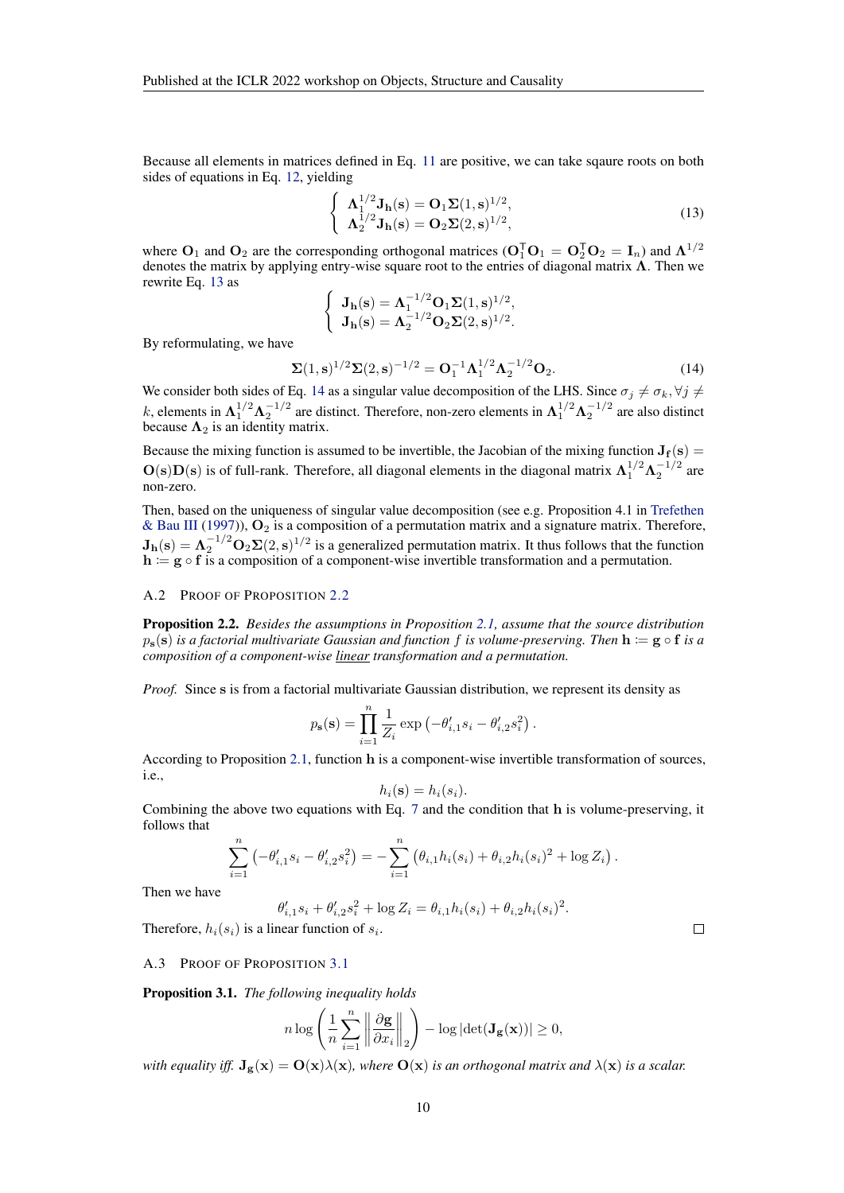Because all elements in matrices defined in Eq. [11](#page-8-4) are positive, we can take sqaure roots on both sides of equations in Eq. [12,](#page-8-5) yielding

<span id="page-9-1"></span>
$$
\begin{cases}\n\Lambda_1^{1/2} \mathbf{J}_h(\mathbf{s}) = \mathbf{O}_1 \Sigma (1, \mathbf{s})^{1/2}, \\
\Lambda_2^{1/2} \mathbf{J}_h(\mathbf{s}) = \mathbf{O}_2 \Sigma (2, \mathbf{s})^{1/2},\n\end{cases}
$$
\n(13)

where  $O_1$  and  $O_2$  are the corresponding orthogonal matrices ( $O_1^T O_1 = O_2^T O_2 = I_n$ ) and  $\Lambda^{1/2}$ denotes the matrix by applying entry-wise square root to the entries of diagonal matrix  $\Lambda$ . Then we rewrite Eq. [13](#page-9-1) as

$$
\begin{cases} \mathbf{J_h}(\mathbf{s}) = \Lambda_1^{-1/2} \mathbf{O}_1 \Sigma(1, \mathbf{s})^{1/2}, \\ \mathbf{J_h}(\mathbf{s}) = \Lambda_2^{-1/2} \mathbf{O}_2 \Sigma(2, \mathbf{s})^{1/2}. \end{cases}
$$

By reformulating, we have

<span id="page-9-2"></span>
$$
\Sigma(1,s)^{1/2}\Sigma(2,s)^{-1/2} = O_1^{-1}\Lambda_1^{1/2}\Lambda_2^{-1/2}O_2.
$$
 (14)

We consider both sides of Eq. [14](#page-9-2) as a singular value decomposition of the LHS. Since  $\sigma_j \neq \sigma_k$ ,  $\forall j \neq$ k, elements in  $\Lambda_1^{1/2} \Lambda_2^{-1/2}$  are distinct. Therefore, non-zero elements in  $\Lambda_1^{1/2} \Lambda_2^{-1/2}$  are also distinct because  $\Lambda_2$  is an identity matrix.

Because the mixing function is assumed to be invertible, the Jacobian of the mixing function  $J_f(s)$  =  $O(s)D(s)$  is of full-rank. Therefore, all diagonal elements in the diagonal matrix  $\Lambda_1^{1/2}\Lambda_2^{-1/2}$  are non-zero.

Then, based on the uniqueness of singular value decomposition (see e.g. Proposition 4.1 in [Trefethen](#page-6-10) [& Bau III](#page-6-10) [\(1997\)](#page-6-10)),  $O_2$  is a composition of a permutation matrix and a signature matrix. Therefore,  $J_h(s) = \Lambda_2^{-1/2} O_2 \Sigma(2, s)^{1/2}$  is a generalized permutation matrix. It thus follows that the function  $h := g \circ f$  is a composition of a component-wise invertible transformation and a permutation.

### <span id="page-9-0"></span>A.2 PROOF OF PROPOSITION [2.2](#page-3-2)

Proposition 2.2. *Besides the assumptions in Proposition [2.1,](#page-2-1) assume that the source distribution*  $p_s(s)$  *is a factorial multivariate Gaussian and function* f *is volume-preserving. Then*  $h := g \circ f$  *is a composition of a component-wise linear transformation and a permutation.*

*Proof.* Since s is from a factorial multivariate Gaussian distribution, we represent its density as

$$
p_{\mathbf{s}}(\mathbf{s}) = \prod_{i=1}^{n} \frac{1}{Z_i} \exp(-\theta'_{i,1} s_i - \theta'_{i,2} s_i^2).
$$

According to Proposition [2.1,](#page-2-1) function h is a component-wise invertible transformation of sources, i.e.,

$$
h_i(\mathbf{s}) = h_i(s_i).
$$

Combining the above two equations with Eq. [7](#page-8-6) and the condition that h is volume-preserving, it follows that

$$
\sum_{i=1}^n \left(-\theta'_{i,1} s_i - \theta'_{i,2} s_i^2\right) = -\sum_{i=1}^n \left(\theta_{i,1} h_i(s_i) + \theta_{i,2} h_i(s_i)^2 + \log Z_i\right).
$$

Then we have

$$
\theta'_{i,1} s_i + \theta'_{i,2} s_i^2 + \log Z_i = \theta_{i,1} h_i(s_i) + \theta_{i,2} h_i(s_i)^2.
$$

Therefore,  $h_i(s_i)$  is a linear function of  $s_i$ .

#### A.3 PROOF OF PROPOSITION [3.1](#page-3-1)

Proposition 3.1. *The following inequality holds*

$$
n \log \left( \frac{1}{n} \sum_{i=1}^{n} \left\| \frac{\partial \mathbf{g}}{\partial x_i} \right\|_2 \right) - \log \left| \det(\mathbf{J}_{\mathbf{g}}(\mathbf{x})) \right| \ge 0,
$$

*with equality iff.*  $J_g(x) = O(x)\lambda(x)$ *, where*  $O(x)$  *is an orthogonal matrix and*  $\lambda(x)$  *is a scalar.* 

 $\Box$